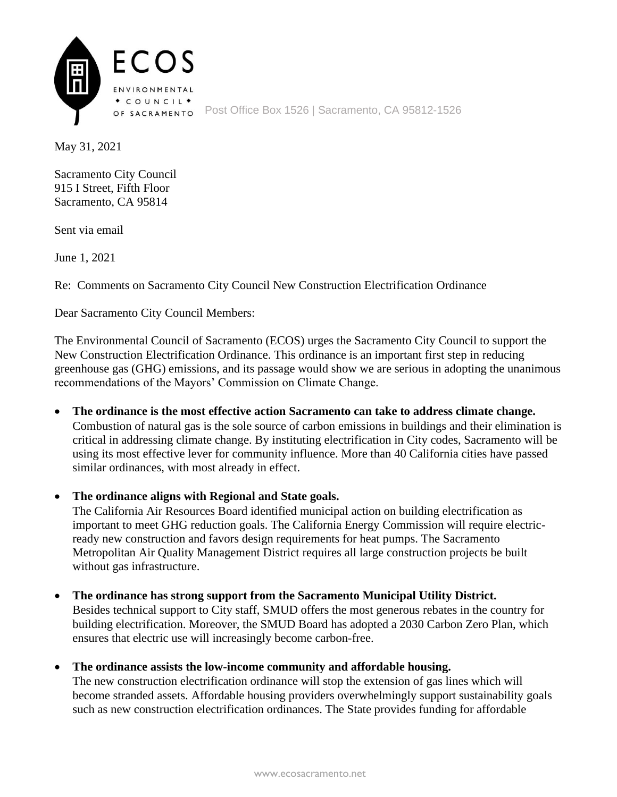

May 31, 2021

Sacramento City Council 915 I Street, Fifth Floor Sacramento, CA 95814

Sent via email

June 1, 2021

Re: Comments on Sacramento City Council New Construction Electrification Ordinance

Dear Sacramento City Council Members:

The Environmental Council of Sacramento (ECOS) urges the Sacramento City Council to support the New Construction Electrification Ordinance. This ordinance is an important first step in reducing greenhouse gas (GHG) emissions, and its passage would show we are serious in adopting the unanimous recommendations of the Mayors' Commission on Climate Change.

• **The ordinance is the most effective action Sacramento can take to address climate change.** Combustion of natural gas is the sole source of carbon emissions in buildings and their elimination is critical in addressing climate change. By instituting electrification in City codes, Sacramento will be using its most effective lever for community influence. More than 40 California cities have passed similar ordinances, with most already in effect.

• **The ordinance aligns with Regional and State goals.**

The California Air Resources Board identified municipal action on building electrification as important to meet GHG reduction goals. The California Energy Commission will require electricready new construction and favors design requirements for heat pumps. The Sacramento Metropolitan Air Quality Management District requires all large construction projects be built without gas infrastructure.

• **The ordinance has strong support from the Sacramento Municipal Utility District.**

Besides technical support to City staff, SMUD offers the most generous rebates in the country for building electrification. Moreover, the SMUD Board has adopted a 2030 Carbon Zero Plan, which ensures that electric use will increasingly become carbon-free.

• **The ordinance assists the low-income community and affordable housing.**

The new construction electrification ordinance will stop the extension of gas lines which will become stranded assets. Affordable housing providers overwhelmingly support sustainability goals such as new construction electrification ordinances. The State provides funding for affordable